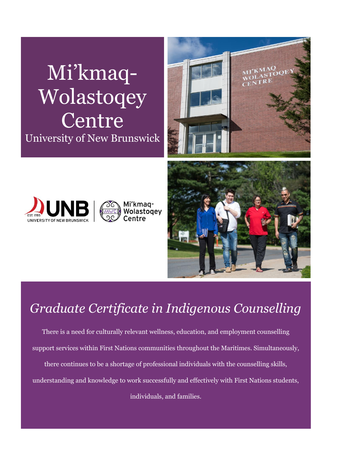# Mi'kmaq-Wolastoqey Centre University of New Brunswick









### *Graduate Certificate in Indigenous Counselling*

There is a need for culturally relevant wellness, education, and employment counselling support services within First Nations communities throughout the Maritimes. Simultaneously, there continues to be a shortage of professional individuals with the counselling skills, understanding and knowledge to work successfully and effectively with First Nations students, individuals, and families.